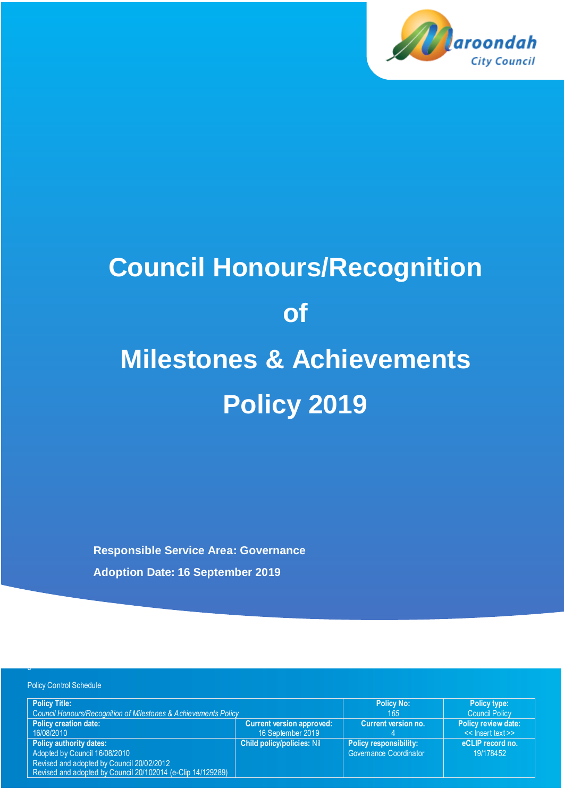

# **Council Honours/Recognition of Milestones & Achievements Policy 2019**

**Responsible Service Area: Governance Adoption Date: 16 September 2019**

e

| <b>Policy Control Schedule</b>                                                                                                                                              |                                   |                                                                |                               |
|-----------------------------------------------------------------------------------------------------------------------------------------------------------------------------|-----------------------------------|----------------------------------------------------------------|-------------------------------|
| <b>Policy Title:</b>                                                                                                                                                        |                                   | <b>Policy No:</b>                                              | <b>Policy type:</b>           |
| Council Honours/Recognition of Milestones & Achievements Policy                                                                                                             |                                   | 165                                                            | <b>Council Policy</b>         |
| <b>Policy creation date:</b>                                                                                                                                                | <b>Current version approved:</b>  | Current version no.                                            | <b>Policy review date:</b>    |
| 16/08/2010                                                                                                                                                                  | 16 September 2019                 |                                                                | << Insert text >>             |
| <b>Policy authority dates:</b><br>Adopted by Council 16/08/2010<br>Revised and adopted by Council 20/02/2012<br>Revised and adopted by Council 20/102014 (e-Clip 14/129289) | <b>Child policy/policies: Nil</b> | <b>Policy responsibility:</b><br><b>Governance Coordinator</b> | eCLIP record no.<br>19/178452 |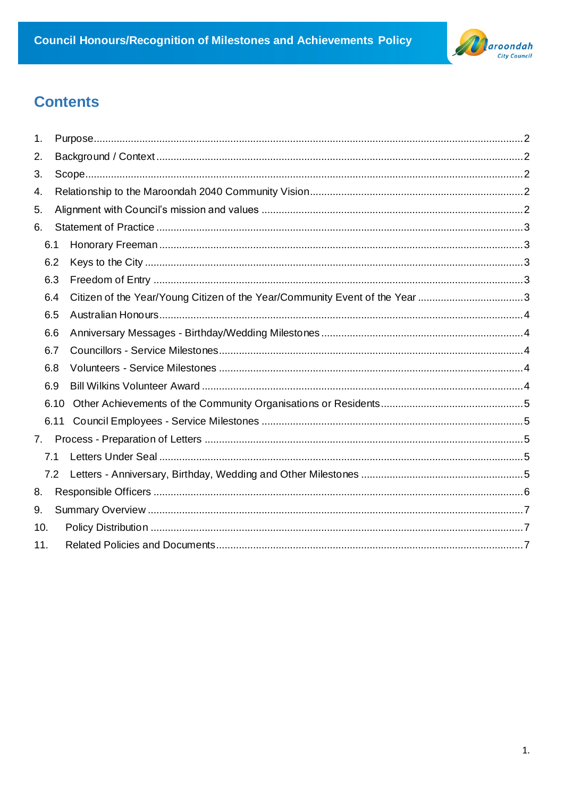

# **Contents**

| 1.  |      |      |                                                                             |  |
|-----|------|------|-----------------------------------------------------------------------------|--|
| 2.  |      |      |                                                                             |  |
| 3.  |      |      |                                                                             |  |
| 4.  |      |      |                                                                             |  |
| 5.  |      |      |                                                                             |  |
| 6.  |      |      |                                                                             |  |
|     | 6.1  |      |                                                                             |  |
|     | 6.2  |      |                                                                             |  |
|     | 6.3  |      |                                                                             |  |
|     | 6.4  |      | Citizen of the Year/Young Citizen of the Year/Community Event of the Year 3 |  |
|     | 6.5  |      |                                                                             |  |
|     | 6.6  |      |                                                                             |  |
|     | 6.7  |      |                                                                             |  |
|     | 6.8  |      |                                                                             |  |
|     | 6.9  |      |                                                                             |  |
|     |      | 6.10 |                                                                             |  |
|     | 6.11 |      |                                                                             |  |
| 7.  |      |      |                                                                             |  |
|     | 7.1  |      |                                                                             |  |
|     | 7.2  |      |                                                                             |  |
| 8.  |      |      |                                                                             |  |
| 9.  |      |      |                                                                             |  |
| 10. |      |      |                                                                             |  |
| 11. |      |      |                                                                             |  |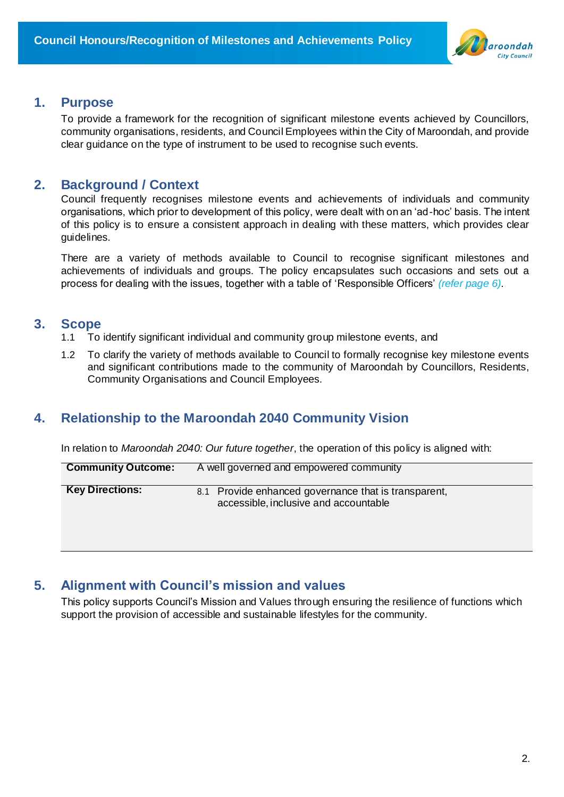

#### <span id="page-2-0"></span>**1. Purpose**

To provide a framework for the recognition of significant milestone events achieved by Councillors, community organisations, residents, and Council Employees within the City of Maroondah, and provide clear guidance on the type of instrument to be used to recognise such events.

## <span id="page-2-1"></span>**2. Background / Context**

Council frequently recognises milestone events and achievements of individuals and community organisations, which prior to development of this policy, were dealt with on an 'ad-hoc' basis. The intent of this policy is to ensure a consistent approach in dealing with these matters, which provides clear guidelines.

There are a variety of methods available to Council to recognise significant milestones and achievements of individuals and groups. The policy encapsulates such occasions and sets out a process for dealing with the issues, together with a table of 'Responsible Officers' *(refer page 6)*.

### <span id="page-2-2"></span>**3. Scope**

- 1.1 To identify significant individual and community group milestone events, and
- 1.2 To clarify the variety of methods available to Council to formally recognise key milestone events and significant contributions made to the community of Maroondah by Councillors, Residents, Community Organisations and Council Employees.

## <span id="page-2-3"></span>**4. Relationship to the Maroondah 2040 Community Vision**

In relation to *Maroondah 2040: Our future together*, the operation of this policy is aligned with:

| <b>Community Outcome:</b> | A well governed and empowered community                                                       |
|---------------------------|-----------------------------------------------------------------------------------------------|
| <b>Key Directions:</b>    | 8.1 Provide enhanced governance that is transparent,<br>accessible, inclusive and accountable |

## <span id="page-2-4"></span>**5. Alignment with Council's mission and values**

This policy supports Council's Mission and Values through ensuring the resilience of functions which support the provision of accessible and sustainable lifestyles for the community.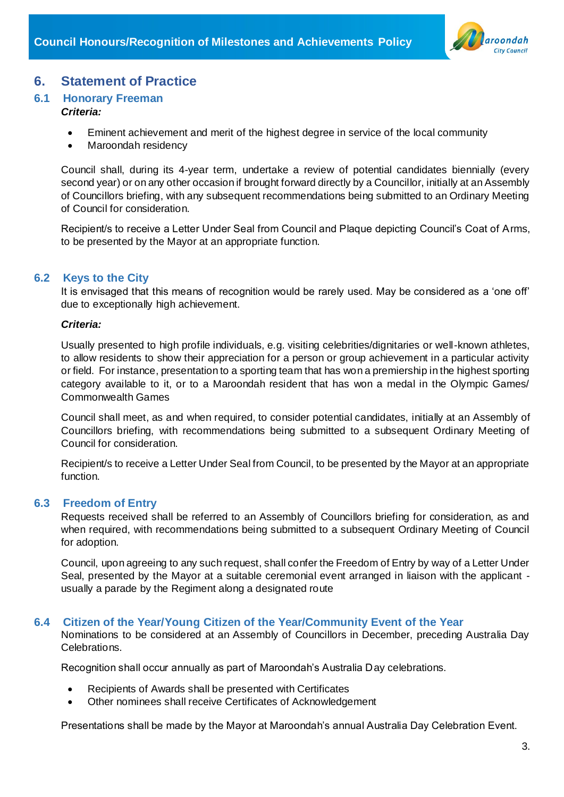

## <span id="page-3-0"></span>**6. Statement of Practice**

#### <span id="page-3-1"></span>**6.1 Honorary Freeman**

#### *Criteria:*

- Eminent achievement and merit of the highest degree in service of the local community
- Maroondah residency

Council shall, during its 4-year term, undertake a review of potential candidates biennially (every second year) or on any other occasion if brought forward directly by a Councillor, initially at an Assembly of Councillors briefing, with any subsequent recommendations being submitted to an Ordinary Meeting of Council for consideration.

Recipient/s to receive a Letter Under Seal from Council and Plaque depicting Council's Coat of Arms, to be presented by the Mayor at an appropriate function.

#### <span id="page-3-2"></span>**6.2 Keys to the City**

It is envisaged that this means of recognition would be rarely used. May be considered as a 'one off' due to exceptionally high achievement.

#### *Criteria:*

Usually presented to high profile individuals, e.g. visiting celebrities/dignitaries or well-known athletes, to allow residents to show their appreciation for a person or group achievement in a particular activity or field. For instance, presentation to a sporting team that has won a premiership in the highest sporting category available to it, or to a Maroondah resident that has won a medal in the Olympic Games/ Commonwealth Games

Council shall meet, as and when required, to consider potential candidates, initially at an Assembly of Councillors briefing, with recommendations being submitted to a subsequent Ordinary Meeting of Council for consideration.

Recipient/s to receive a Letter Under Seal from Council, to be presented by the Mayor at an appropriate function.

#### <span id="page-3-3"></span>**6.3 Freedom of Entry**

Requests received shall be referred to an Assembly of Councillors briefing for consideration, as and when required, with recommendations being submitted to a subsequent Ordinary Meeting of Council for adoption.

Council, upon agreeing to any such request, shall confer the Freedom of Entry by way of a Letter Under Seal, presented by the Mayor at a suitable ceremonial event arranged in liaison with the applicant usually a parade by the Regiment along a designated route

#### <span id="page-3-4"></span>**6.4 Citizen of the Year/Young Citizen of the Year/Community Event of the Year**

Nominations to be considered at an Assembly of Councillors in December, preceding Australia Day Celebrations.

Recognition shall occur annually as part of Maroondah's Australia Day celebrations.

- Recipients of Awards shall be presented with Certificates
- Other nominees shall receive Certificates of Acknowledgement

Presentations shall be made by the Mayor at Maroondah's annual Australia Day Celebration Event.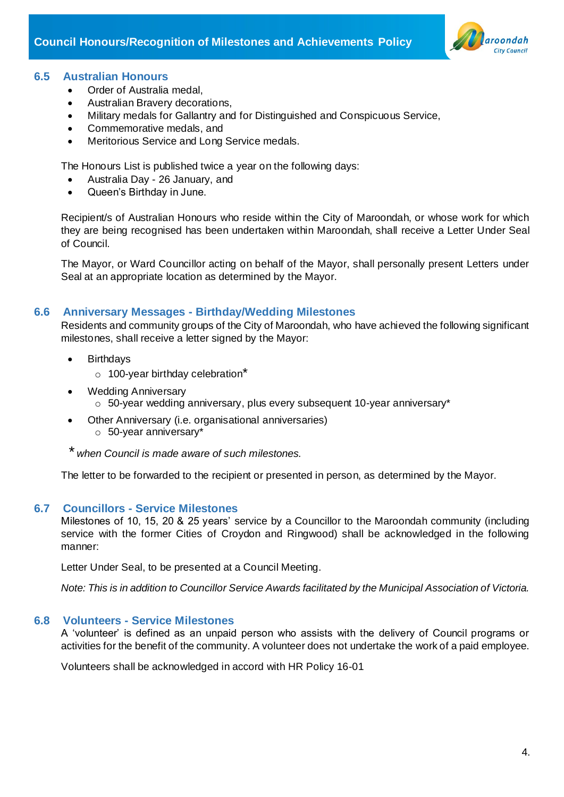

#### <span id="page-4-0"></span>**6.5 Australian Honours**

- Order of Australia medal,
- Australian Bravery decorations,
- Military medals for Gallantry and for Distinguished and Conspicuous Service,
- Commemorative medals, and
- Meritorious Service and Long Service medals.

The Honours List is published twice a year on the following days:

- Australia Day 26 January, and
- Queen's Birthday in June.

Recipient/s of Australian Honours who reside within the City of Maroondah, or whose work for which they are being recognised has been undertaken within Maroondah, shall receive a Letter Under Seal of Council.

The Mayor, or Ward Councillor acting on behalf of the Mayor, shall personally present Letters under Seal at an appropriate location as determined by the Mayor.

#### <span id="page-4-1"></span>**6.6 Anniversary Messages - Birthday/Wedding Milestones**

Residents and community groups of the City of Maroondah, who have achieved the following significant milestones, shall receive a letter signed by the Mayor:

- Birthdays
	- $\circ$  100-year birthday celebration\*
- Wedding Anniversary
	- o 50-year wedding anniversary, plus every subsequent 10-year anniversary\*
- Other Anniversary (i.e. organisational anniversaries) o 50-year anniversary\*

*\* when Council is made aware of such milestones.*

The letter to be forwarded to the recipient or presented in person, as determined by the Mayor.

#### <span id="page-4-2"></span>**6.7 Councillors - Service Milestones**

Milestones of 10, 15, 20 & 25 years' service by a Councillor to the Maroondah community (including service with the former Cities of Croydon and Ringwood) shall be acknowledged in the following manner:

Letter Under Seal, to be presented at a Council Meeting.

*Note: This is in addition to Councillor Service Awards facilitated by the Municipal Association of Victoria.*

#### <span id="page-4-3"></span>**6.8 Volunteers - Service Milestones**

A 'volunteer' is defined as an unpaid person who assists with the delivery of Council programs or activities for the benefit of the community. A volunteer does not undertake the work of a paid employee.

Volunteers shall be acknowledged in accord with HR Policy 16-01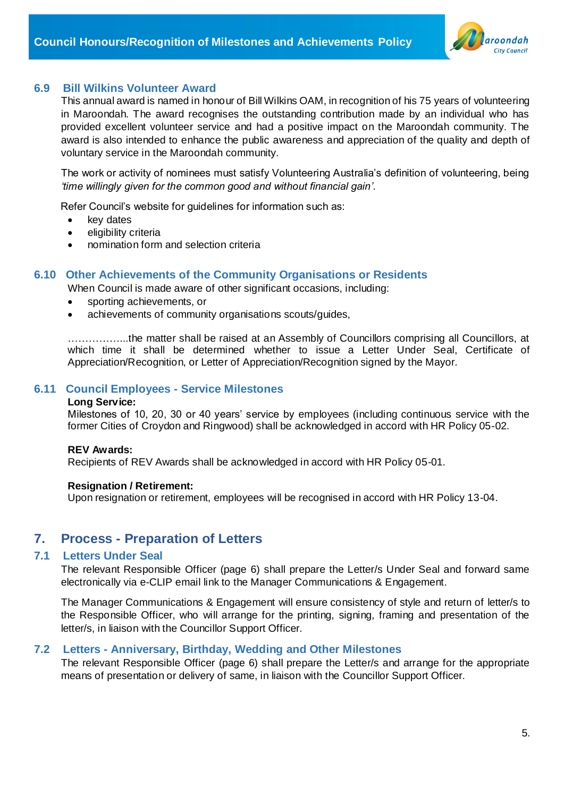

#### <span id="page-5-0"></span>**6.9 Bill Wilkins Volunteer Award**

This annual award is named in honour of Bill Wilkins OAM, in recognition of his 75 years of volunteering in Maroondah. The award recognises the outstanding contribution made by an individual who has provided excellent volunteer service and had a positive impact on the Maroondah community. The award is also intended to enhance the public awareness and appreciation of the quality and depth of voluntary service in the Maroondah community.

The work or activity of nominees must satisfy Volunteering Australia's definition of volunteering, being *'time willingly given for the common good and without financial gain'*.

Refer Council's website for guidelines for information such as:

- key dates
- eligibility criteria
- nomination form and selection criteria

#### <span id="page-5-1"></span>**6.10 Other Achievements of the Community Organisations or Residents**

When Council is made aware of other significant occasions, including:

- sporting achievements, or
- achievements of community organisations scouts/guides,

……………...the matter shall be raised at an Assembly of Councillors comprising all Councillors, at which time it shall be determined whether to issue a Letter Under Seal. Certificate of Appreciation/Recognition, or Letter of Appreciation/Recognition signed by the Mayor.

#### <span id="page-5-2"></span>**6.11 Council Employees - Service Milestones**

#### **Long Service:**

Milestones of 10, 20, 30 or 40 years' service by employees (including continuous service with the former Cities of Croydon and Ringwood) shall be acknowledged in accord with HR Policy 05-02.

#### **REV Awards:**

Recipients of REV Awards shall be acknowledged in accord with HR Policy 05-01.

#### **Resignation / Retirement:**

Upon resignation or retirement, employees will be recognised in accord with HR Policy 13-04.

#### <span id="page-5-3"></span>**7. Process - Preparation of Letters**

#### <span id="page-5-4"></span>**7.1 Letters Under Seal**

The relevant Responsible Officer (page 6) shall prepare the Letter/s Under Seal and forward same electronically via e-CLIP email link to the Manager Communications & Engagement.

The Manager Communications & Engagement will ensure consistency of style and return of letter/s to the Responsible Officer, who will arrange for the printing, signing, framing and presentation of the letter/s, in liaison with the Councillor Support Officer.

#### <span id="page-5-5"></span>**7.2 Letters - Anniversary, Birthday, Wedding and Other Milestones**

The relevant Responsible Officer (page 6) shall prepare the Letter/s and arrange for the appropriate means of presentation or delivery of same, in liaison with the Councillor Support Officer.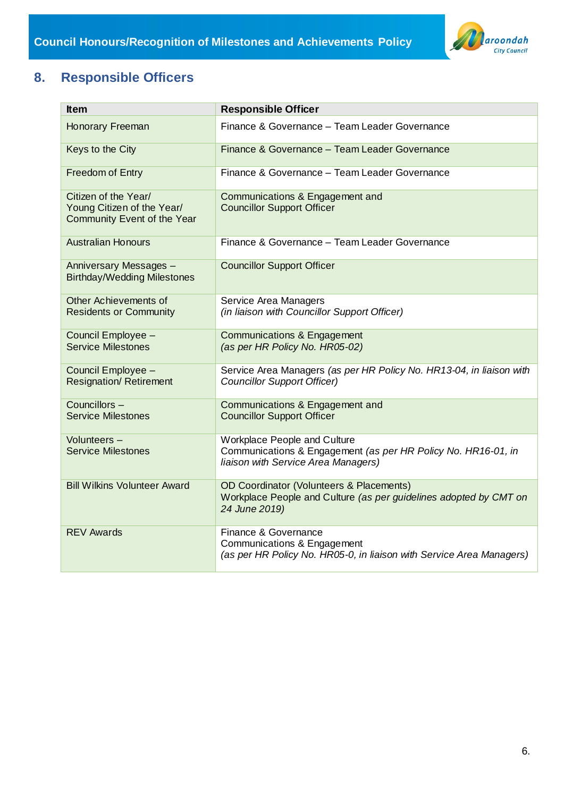

## <span id="page-6-0"></span>**8. Responsible Officers**

| <b>Item</b>                                                                       | <b>Responsible Officer</b>                                                                                                           |
|-----------------------------------------------------------------------------------|--------------------------------------------------------------------------------------------------------------------------------------|
| Honorary Freeman                                                                  | Finance & Governance - Team Leader Governance                                                                                        |
| Keys to the City                                                                  | Finance & Governance - Team Leader Governance                                                                                        |
| <b>Freedom of Entry</b>                                                           | Finance & Governance - Team Leader Governance                                                                                        |
| Citizen of the Year/<br>Young Citizen of the Year/<br>Community Event of the Year | Communications & Engagement and<br><b>Councillor Support Officer</b>                                                                 |
| <b>Australian Honours</b>                                                         | Finance & Governance - Team Leader Governance                                                                                        |
| Anniversary Messages -<br><b>Birthday/Wedding Milestones</b>                      | <b>Councillor Support Officer</b>                                                                                                    |
| Other Achievements of<br><b>Residents or Community</b>                            | Service Area Managers<br>(in liaison with Councillor Support Officer)                                                                |
| Council Employee -<br><b>Service Milestones</b>                                   | Communications & Engagement<br>(as per HR Policy No. HR05-02)                                                                        |
| Council Employee -<br><b>Resignation/ Retirement</b>                              | Service Area Managers (as per HR Policy No. HR13-04, in liaison with<br><b>Councillor Support Officer)</b>                           |
| Councillors-<br><b>Service Milestones</b>                                         | Communications & Engagement and<br><b>Councillor Support Officer</b>                                                                 |
| Volunteers -<br><b>Service Milestones</b>                                         | Workplace People and Culture<br>Communications & Engagement (as per HR Policy No. HR16-01, in<br>liaison with Service Area Managers) |
| <b>Bill Wilkins Volunteer Award</b>                                               | OD Coordinator (Volunteers & Placements)<br>Workplace People and Culture (as per guidelines adopted by CMT on<br>24 June 2019)       |
| <b>REV Awards</b>                                                                 | Finance & Governance<br>Communications & Engagement<br>(as per HR Policy No. HR05-0, in liaison with Service Area Managers)          |